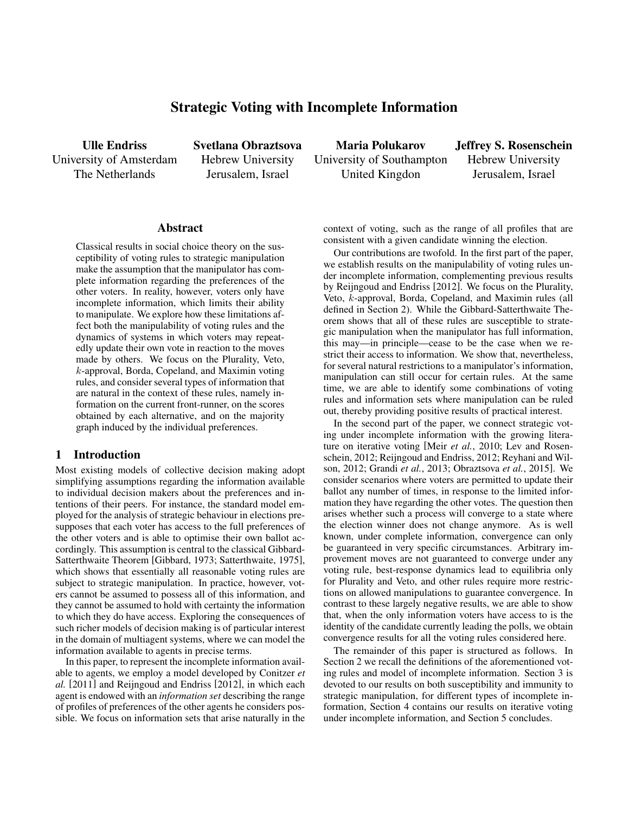# Strategic Voting with Incomplete Information

Ulle Endriss University of Amsterdam The Netherlands

Svetlana Obraztsova Hebrew University Jerusalem, Israel

Maria Polukarov University of Southampton United Kingdon

Jeffrey S. Rosenschein Hebrew University Jerusalem, Israel

#### Abstract

Classical results in social choice theory on the susceptibility of voting rules to strategic manipulation make the assumption that the manipulator has complete information regarding the preferences of the other voters. In reality, however, voters only have incomplete information, which limits their ability to manipulate. We explore how these limitations affect both the manipulability of voting rules and the dynamics of systems in which voters may repeatedly update their own vote in reaction to the moves made by others. We focus on the Plurality, Veto, k-approval, Borda, Copeland, and Maximin voting rules, and consider several types of information that are natural in the context of these rules, namely information on the current front-runner, on the scores obtained by each alternative, and on the majority graph induced by the individual preferences.

### 1 Introduction

Most existing models of collective decision making adopt simplifying assumptions regarding the information available to individual decision makers about the preferences and intentions of their peers. For instance, the standard model employed for the analysis of strategic behaviour in elections presupposes that each voter has access to the full preferences of the other voters and is able to optimise their own ballot accordingly. This assumption is central to the classical Gibbard-Satterthwaite Theorem [Gibbard, 1973; Satterthwaite, 1975], which shows that essentially all reasonable voting rules are subject to strategic manipulation. In practice, however, voters cannot be assumed to possess all of this information, and they cannot be assumed to hold with certainty the information to which they do have access. Exploring the consequences of such richer models of decision making is of particular interest in the domain of multiagent systems, where we can model the information available to agents in precise terms.

In this paper, to represent the incomplete information available to agents, we employ a model developed by Conitzer *et al.* [2011] and Reijngoud and Endriss [2012], in which each agent is endowed with an *information set* describing the range of profiles of preferences of the other agents he considers possible. We focus on information sets that arise naturally in the context of voting, such as the range of all profiles that are consistent with a given candidate winning the election.

Our contributions are twofold. In the first part of the paper, we establish results on the manipulability of voting rules under incomplete information, complementing previous results by Reijngoud and Endriss [2012]. We focus on the Plurality, Veto, k-approval, Borda, Copeland, and Maximin rules (all defined in Section 2). While the Gibbard-Satterthwaite Theorem shows that all of these rules are susceptible to strategic manipulation when the manipulator has full information, this may—in principle—cease to be the case when we restrict their access to information. We show that, nevertheless, for several natural restrictions to a manipulator's information, manipulation can still occur for certain rules. At the same time, we are able to identify some combinations of voting rules and information sets where manipulation can be ruled out, thereby providing positive results of practical interest.

In the second part of the paper, we connect strategic voting under incomplete information with the growing literature on iterative voting [Meir *et al.*, 2010; Lev and Rosenschein, 2012; Reijngoud and Endriss, 2012; Reyhani and Wilson, 2012; Grandi *et al.*, 2013; Obraztsova *et al.*, 2015]. We consider scenarios where voters are permitted to update their ballot any number of times, in response to the limited information they have regarding the other votes. The question then arises whether such a process will converge to a state where the election winner does not change anymore. As is well known, under complete information, convergence can only be guaranteed in very specific circumstances. Arbitrary improvement moves are not guaranteed to converge under any voting rule, best-response dynamics lead to equilibria only for Plurality and Veto, and other rules require more restrictions on allowed manipulations to guarantee convergence. In contrast to these largely negative results, we are able to show that, when the only information voters have access to is the identity of the candidate currently leading the polls, we obtain convergence results for all the voting rules considered here.

The remainder of this paper is structured as follows. In Section 2 we recall the definitions of the aforementioned voting rules and model of incomplete information. Section 3 is devoted to our results on both susceptibility and immunity to strategic manipulation, for different types of incomplete information, Section 4 contains our results on iterative voting under incomplete information, and Section 5 concludes.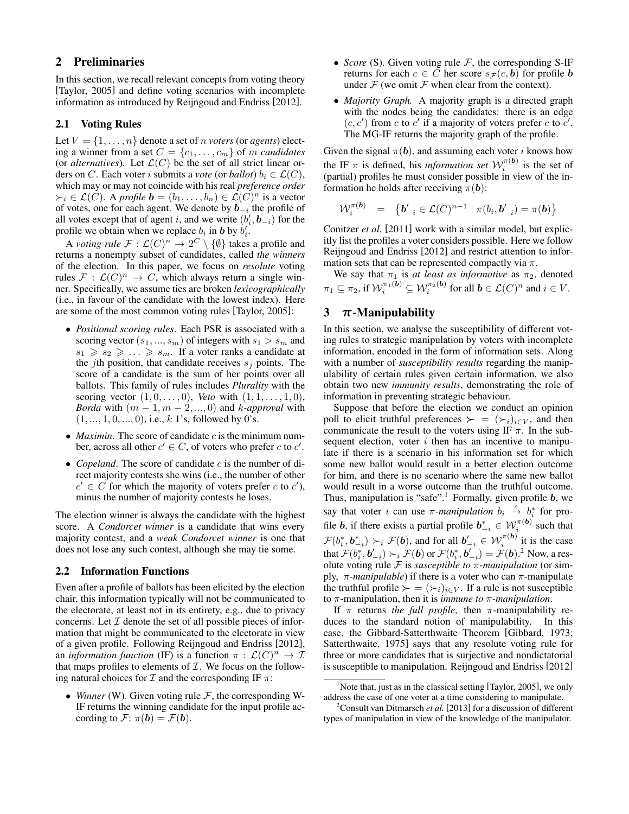## 2 Preliminaries

In this section, we recall relevant concepts from voting theory [Taylor, 2005] and define voting scenarios with incomplete information as introduced by Reijngoud and Endriss [2012].

### 2.1 Voting Rules

Let  $V = \{1, \ldots, n\}$  denote a set of *n voters* (or *agents*) electing a winner from a set  $C = \{c_1, \ldots, c_m\}$  of m *candidates* (or *alternatives*). Let  $\mathcal{L}(C)$  be the set of all strict linear orders on C. Each voter *i* submits a *vote* (or *ballot*)  $b_i \in \mathcal{L}(C)$ , which may or may not coincide with his real *preference order*  $\succ_i \in \mathcal{L}(C)$ . A *profile*  $\mathbf{b} = (b_1, \ldots, b_n) \in \mathcal{L}(C)^n$  is a vector of votes, one for each agent. We denote by  $\mathbf{b}_{-i}$  the profile of all votes except that of agent i, and we write  $(b'_i, \boldsymbol{b}_{-i})$  for the profile we obtain when we replace  $b_i$  in **b** by  $b'_i$ .

A *voting rule*  $\mathcal{F}: \mathcal{L}(C)^n \to 2^C \setminus \{\emptyset\}$  takes a profile and returns a nonempty subset of candidates, called *the winners* of the election. In this paper, we focus on *resolute* voting rules  $\mathcal{F}: \mathcal{L}(C)^n \to C$ , which always return a single winner. Specifically, we assume ties are broken *lexicographically* (i.e., in favour of the candidate with the lowest index). Here are some of the most common voting rules [Taylor, 2005]:

- *Positional scoring rules*. Each PSR is associated with a scoring vector  $(s_1, ..., s_m)$  of integers with  $s_1 > s_m$  and  $s_1 \geqslant s_2 \geqslant \ldots \geqslant s_m$ . If a voter ranks a candidate at the *j*th position, that candidate receives  $s_i$  points. The score of a candidate is the sum of her points over all ballots. This family of rules includes *Plurality* with the scoring vector  $(1, 0, \ldots, 0)$ , *Veto* with  $(1, 1, \ldots, 1, 0)$ , *Borda* with  $(m - 1, m - 2, ..., 0)$  and *k-approval* with  $(1, ..., 1, 0, ..., 0)$ , i.e., k 1's, followed by 0's.
- *Maximin*. The score of candidate  $c$  is the minimum number, across all other  $c' \in C$ , of voters who prefer c to  $c'$ .
- *Copeland*. The score of candidate  $c$  is the number of direct majority contests she wins (i.e., the number of other  $c' \in \overrightarrow{C}$  for which the majority of voters prefer c to  $c'$ ), minus the number of majority contests he loses.

The election winner is always the candidate with the highest score. A *Condorcet winner* is a candidate that wins every majority contest, and a *weak Condorcet winner* is one that does not lose any such contest, although she may tie some.

### 2.2 Information Functions

Even after a profile of ballots has been elicited by the election chair, this information typically will not be communicated to the electorate, at least not in its entirety, e.g., due to privacy concerns. Let  $I$  denote the set of all possible pieces of information that might be communicated to the electorate in view of a given profile. Following Reijngoud and Endriss [2012], an *information function* (IF) is a function  $\pi$  :  $\mathcal{L}(C)^n \to \mathcal{I}$ that maps profiles to elements of  $I$ . We focus on the following natural choices for  $\mathcal I$  and the corresponding IF  $\pi$ :

• *Winner* (W). Given voting rule  $F$ , the corresponding W-IF returns the winning candidate for the input profile according to  $\mathcal{F}$ :  $\pi(\mathbf{b}) = \mathcal{F}(\mathbf{b})$ .

- *Score* (S). Given voting rule  $F$ , the corresponding S-IF returns for each  $c \in C$  her score  $s_{\mathcal{F}}(c, b)$  for profile b under  $\mathcal F$  (we omit  $\mathcal F$  when clear from the context).
- *Majority Graph.* A majority graph is a directed graph with the nodes being the candidates: there is an edge  $(c, c')$  from c to c' if a majority of voters prefer c to c'. The MG-IF returns the majority graph of the profile.

Given the signal  $\pi(b)$ , and assuming each voter *i* knows how the IF  $\pi$  is defined, his *information set*  $W_i^{(\pi(b))}$  is the set of (partial) profiles he must consider possible in view of the information he holds after receiving  $\pi(\mathbf{b})$ :

$$
\mathcal{W}_i^{\pi(\mathbf{b})} = \{ \mathbf{b}'_{-i} \in \mathcal{L}(C)^{n-1} \mid \pi(b_i, \mathbf{b}'_{-i}) = \pi(\mathbf{b}) \}
$$

Conitzer *et al.* [2011] work with a similar model, but explicitly list the profiles a voter considers possible. Here we follow Reijngoud and Endriss [2012] and restrict attention to information sets that can be represented compactly via  $\pi$ .

We say that  $\pi_1$  is *at least as informative* as  $\pi_2$ , denoted  $\pi_1 \subseteq \pi_2$ , if  $\mathcal{W}_i^{\pi_1(\boldsymbol{b})} \subseteq \mathcal{W}_i^{\pi_2(\boldsymbol{b})}$  for all  $\boldsymbol{b} \in \mathcal{L}(C)^n$  and  $i \in V$ .

### 3  $\pi$ -Manipulability

In this section, we analyse the susceptibility of different voting rules to strategic manipulation by voters with incomplete information, encoded in the form of information sets. Along with a number of *susceptibility results* regarding the manipulability of certain rules given certain information, we also obtain two new *immunity results*, demonstrating the role of information in preventing strategic behaviour.

Suppose that before the election we conduct an opinion poll to elicit truthful preferences  $\succ = (\succ_i)_{i \in V}$ , and then communicate the result to the voters using IF  $\pi$ . In the subsequent election, voter  $i$  then has an incentive to manipulate if there is a scenario in his information set for which some new ballot would result in a better election outcome for him, and there is no scenario where the same new ballot would result in a worse outcome than the truthful outcome. Thus, manipulation is "safe".<sup>1</sup> Formally, given profile  $b$ , we say that voter i can use  $\pi$ -manipulation  $b_i \stackrel{i}{\rightarrow} b_i^*$  for proi file **b**, if there exists a partial profile  $b_{-i}^* \in \mathcal{W}_i^{\pi(b)}$  such that  $\mathcal{F}(b_i^*, b_{-i}^*) \succ_i \mathcal{F}(\boldsymbol{b})$ , and for all  $b'_{-i} \in \mathcal{W}_i^{\pi(\boldsymbol{b})}$  it is the case that  $\mathcal{F}(b^*_i, \bm{b}'_{-i}) \succ_i \mathcal{F}(\bm{b})$  or  $\mathcal{F}(b^*_i, \bm{b}'_{-i}) = \mathcal{F}(\bm{b})$ .<sup>2</sup> Now, a resolute voting rule F is *susceptible to* π*-manipulation* (or simply,  $\pi$ -manipulable) if there is a voter who can  $\pi$ -manipulate the truthful profile  $\succ = (\succ_i)_{i \in V}$ . If a rule is not susceptible to π-manipulation, then it is *immune to* π*-manipulation*.

If  $\pi$  returns *the full profile*, then  $\pi$ -manipulability reduces to the standard notion of manipulability. In this case, the Gibbard-Satterthwaite Theorem [Gibbard, 1973; Satterthwaite, 1975] says that any resolute voting rule for three or more candidates that is surjective and nondictatorial is susceptible to manipulation. Reijngoud and Endriss [2012]

<sup>&</sup>lt;sup>1</sup>Note that, just as in the classical setting [Taylor, 2005], we only address the case of one voter at a time considering to manipulate.

<sup>2</sup>Consult van Ditmarsch *et al.* [2013] for a discussion of different types of manipulation in view of the knowledge of the manipulator.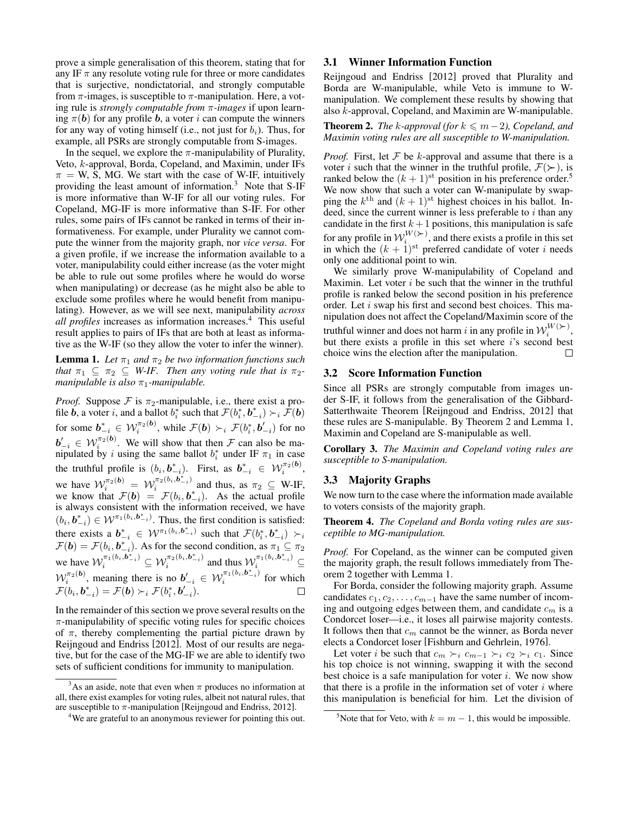prove a simple generalisation of this theorem, stating that for any IF  $\pi$  any resolute voting rule for three or more candidates that is surjective, nondictatorial, and strongly computable from  $\pi$ -images, is susceptible to  $\pi$ -manipulation. Here, a voting rule is *strongly computable from* π*-images* if upon learning  $\pi(b)$  for any profile b, a voter i can compute the winners for any way of voting himself (i.e., not just for  $b_i$ ). Thus, for example, all PSRs are strongly computable from S-images.

In the sequel, we explore the  $\pi$ -manipulability of Plurality, Veto, k-approval, Borda, Copeland, and Maximin, under IFs  $\pi = W$ , S, MG. We start with the case of W-IF, intuitively providing the least amount of information.<sup>3</sup> Note that S-IF is more informative than W-IF for all our voting rules. For Copeland, MG-IF is more informative than S-IF. For other rules, some pairs of IFs cannot be ranked in terms of their informativeness. For example, under Plurality we cannot compute the winner from the majority graph, nor *vice versa*. For a given profile, if we increase the information available to a voter, manipulability could either increase (as the voter might be able to rule out some profiles where he would do worse when manipulating) or decrease (as he might also be able to exclude some profiles where he would benefit from manipulating). However, as we will see next, manipulability *across all profiles* increases as information increases.<sup>4</sup> This useful result applies to pairs of IFs that are both at least as informative as the W-IF (so they allow the voter to infer the winner).

**Lemma 1.** Let  $\pi_1$  and  $\pi_2$  be two information functions such *that*  $\pi_1 \subseteq \pi_2 \subseteq W$ -IF. Then any voting rule that is  $\pi_2$ *manipulable is also*  $\pi_1$ *-manipulable.* 

*Proof.* Suppose  $\mathcal F$  is  $\pi_2$ -manipulable, i.e., there exist a profile **b**, a voter i, and a ballot  $b_i^*$  such that  $\mathcal{F}(b_i^*, b_{-i}^*) \succ_i \mathcal{F}(b)$ for some  $\bm{b}^*_{-i} \in \mathcal{W}^{\pi_2(\bm{b})}_i,$  while  $\mathcal{F}(\bm{b}) \succ_i \mathcal{F}(b^*_i,\bm{b}'_{-i})$  for no  $b'_{-i} \in \mathcal{W}_i^{\pi_2(b)}$ . We will show that then  $\mathcal F$  can also be manipulated by i using the same ballot  $b_i^*$  under IF  $\pi_1$  in case the truthful profile is  $(b_i, b_{-i}^*)$ . First, as  $b_{-i}^* \in \mathcal{W}_i^{\pi_2(b)}$ , we have  $\mathcal{W}_i^{\pi_2(b)} = \mathcal{W}_i^{\pi_2(b_i, b_{-i}^*)}$  $\sum_{i=1}^{n/2}$  and thus, as  $\pi_2 \subseteq W$ -IF, we know that  $\mathcal{F}(\boldsymbol{b}) = \mathcal{F}(b_i, \boldsymbol{b}_{-i}^*)$ . As the actual profile is always consistent with the information received, we have  $(b_i, b_{-i}^*) \in \mathcal{W}^{\pi_1(b_i, b_{-i}^*)}$ . Thus, the first condition is satisfied: there exists a  $b_{-i}^* \in \mathcal{W}^{\pi_1(b_i, b_{-i}^*)}$  such that  $\mathcal{F}(b_i^*, b_{-i}^*) \succ_i$ There exists a  $\mathbf{v}_{-i} \in VV$   $\cdots$   $-v$  such that  $\mathcal{F}(v_i, \mathbf{v}_{-i}) \geq \mathcal{F}(b) = \mathcal{F}(b_i, \mathbf{b}_{-i}^*)$ . As for the second condition, as  $\pi_1 \subseteq \pi_2$ we have  $\mathcal{W}_i^{\pi_1(b_i, \mathbf{b}_{-i}^*)} \subseteq \mathcal{W}_i^{\pi_2(b_i, \mathbf{b}_{-i}^*)}$  $\sum_{i=1}^{\pi_2(b_i,b^*_{-i})}$  and thus  $\mathcal{W}^{\pi_1(b_i,b^*_{-i})}_{i} \subseteq$  $\mathcal{W}_i^{\pi_2(b)}$ , meaning there is no  $b'_{-i} \in \mathcal{W}_i^{\pi_1(b_i, b_{-i}^*)}$  $i^{n_1(\sigma_i, \sigma_{-i})}$  for which  $\mathcal{F}(\mathcal{b}_i, \mathcal{b}^*_{-i}) = \mathcal{F}(\mathcal{b}) \succ_i \mathcal{F}(\mathcal{b}^*_i, \mathcal{b}'_{-i}).$ 

In the remainder of this section we prove several results on the  $\pi$ -manipulability of specific voting rules for specific choices of  $\pi$ , thereby complementing the partial picture drawn by Reijngoud and Endriss [2012]. Most of our results are negative, but for the case of the MG-IF we are able to identify two sets of sufficient conditions for immunity to manipulation.

#### 3.1 Winner Information Function

Reijngoud and Endriss [2012] proved that Plurality and Borda are W-manipulable, while Veto is immune to Wmanipulation. We complement these results by showing that also k-approval, Copeland, and Maximin are W-manipulable.

**Theorem 2.** *The k-approval (for*  $k ≤ m-2$ ), *Copeland, and Maximin voting rules are all susceptible to W-manipulation.*

*Proof.* First, let  $F$  be k-approval and assume that there is a voter *i* such that the winner in the truthful profile,  $\mathcal{F}(\succ)$ , is ranked below the  $(k + 1)$ <sup>st</sup> position in his preference order.<sup>5</sup> We now show that such a voter can W-manipulate by swapping the  $k^{\text{th}}$  and  $(k+1)^{\text{st}}$  highest choices in his ballot. Indeed, since the current winner is less preferable to  $i$  than any candidate in the first  $k+1$  positions, this manipulation is safe for any profile in  $\mathcal{W}_i^{W(\succ)}$ , and there exists a profile in this set in which the  $(k + 1)$ <sup>st</sup> preferred candidate of voter i needs only one additional point to win.

We similarly prove W-manipulability of Copeland and Maximin. Let voter  $i$  be such that the winner in the truthful profile is ranked below the second position in his preference order. Let i swap his first and second best choices. This manipulation does not affect the Copeland/Maximin score of the truthful winner and does not harm  $i$  in any profile in  $\mathcal{W}_i^{W(\succ)},$ but there exists a profile in this set where i's second best choice wins the election after the manipulation.  $\Box$ 

#### 3.2 Score Information Function

Since all PSRs are strongly computable from images under S-IF, it follows from the generalisation of the Gibbard-Satterthwaite Theorem [Reijngoud and Endriss, 2012] that these rules are S-manipulable. By Theorem 2 and Lemma 1, Maximin and Copeland are S-manipulable as well.

Corollary 3. *The Maximin and Copeland voting rules are susceptible to S-manipulation.*

#### 3.3 Majority Graphs

We now turn to the case where the information made available to voters consists of the majority graph.

Theorem 4. *The Copeland and Borda voting rules are susceptible to MG-manipulation.*

*Proof.* For Copeland, as the winner can be computed given the majority graph, the result follows immediately from Theorem 2 together with Lemma 1.

For Borda, consider the following majority graph. Assume candidates  $c_1, c_2, \ldots, c_{m-1}$  have the same number of incoming and outgoing edges between them, and candidate  $c_m$  is a Condorcet loser—i.e., it loses all pairwise majority contests. It follows then that  $c_m$  cannot be the winner, as Borda never elects a Condorcet loser [Fishburn and Gehrlein, 1976].

Let voter *i* be such that  $c_m \succ_i c_{m-1} \succ_i c_2 \succ_i c_1$ . Since his top choice is not winning, swapping it with the second best choice is a safe manipulation for voter  $i$ . We now show that there is a profile in the information set of voter  $i$  where this manipulation is beneficial for him. Let the division of

<sup>&</sup>lt;sup>3</sup>As an aside, note that even when  $\pi$  produces no information at all, there exist examples for voting rules, albeit not natural rules, that are susceptible to  $\pi$ -manipulation [Reijngoud and Endriss, 2012].

<sup>&</sup>lt;sup>4</sup>We are grateful to an anonymous reviewer for pointing this out.

<sup>&</sup>lt;sup>5</sup>Note that for Veto, with  $k = m - 1$ , this would be impossible.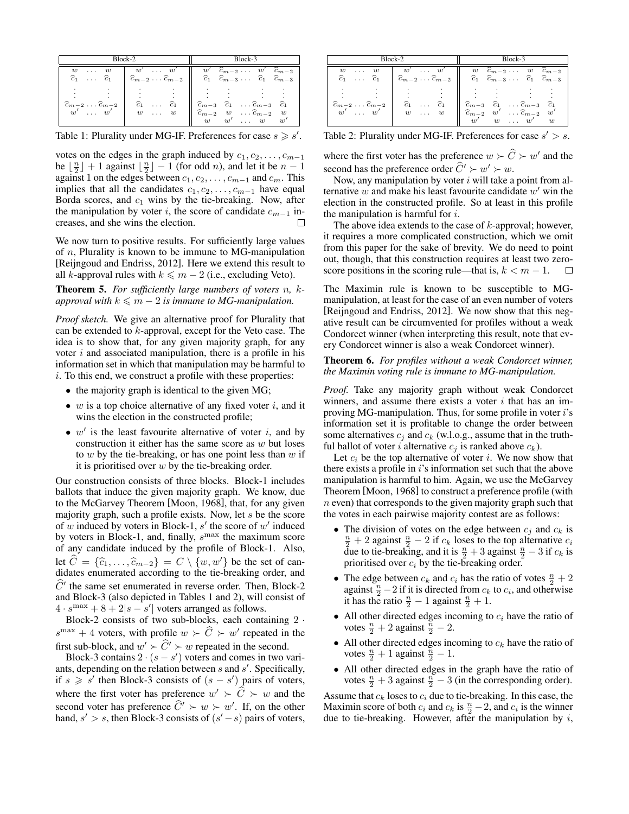| Block-2                                                                  |                                                                        | Block-3                                                                                                                                                                                           |
|--------------------------------------------------------------------------|------------------------------------------------------------------------|---------------------------------------------------------------------------------------------------------------------------------------------------------------------------------------------------|
| w<br>w<br>$\cdots$<br>$\widehat{c}_1$<br>$\ldots \quad \widehat{c}_1$    | $w'$ $w'$<br>$\widehat{c}_{m-2} \ldots \widehat{c}_{m-2}$              | $w'$ $\widehat{c}_{m-2}$ $\ldots$ $w'$ $\widehat{c}_{m-2}$<br>$\widehat{c}_1$ $\widehat{c}_{m-3}$ $\ldots$ $\widehat{c}_1$ $\widehat{c}_{m-3}$                                                    |
| $\widehat{c}_{m-2} \ldots \widehat{c}_{m-2}$<br>w'<br>w'<br>$\sim 1.1$ . | $\widehat{c}_1$<br>$\widehat{c}_1$<br>$\cdots$<br>w<br>w<br>$\sim 100$ | $\widehat{c}_{m-3}$<br>$\ldots \widehat{c}_{m-3}$<br>$\widehat{c}_1$<br>$\widehat{c}_1$<br>$\widehat{c}_{m-2}$<br>$\ldots \widehat{c}_{m-2}$<br>w<br>w<br>w'<br>$\ldots$ $w$<br>$w^{\prime}$<br>w |

Table 1: Plurality under MG-IF. Preferences for case  $s \geq s'$ .

votes on the edges in the graph induced by  $c_1, c_2, \ldots, c_{m-1}$ be  $\lfloor \frac{n}{2} \rfloor + 1$  against  $\lfloor \frac{n}{2} \rfloor - 1$  (for odd *n*), and let it be  $n - 1$ against 1 on the edges between  $c_1, c_2, \ldots, c_{m-1}$  and  $c_m$ . This implies that all the candidates  $c_1, c_2, \ldots, c_{m-1}$  have equal Borda scores, and  $c_1$  wins by the tie-breaking. Now, after the manipulation by voter i, the score of candidate  $c_{m-1}$  increases, and she wins the election.  $\Box$ 

We now turn to positive results. For sufficiently large values of  $n$ , Plurality is known to be immune to MG-manipulation [Reijngoud and Endriss, 2012]. Here we extend this result to all k-approval rules with  $k \leq m - 2$  (i.e., excluding Veto).

Theorem 5. *For sufficiently large numbers of voters* n*,* k*approval with*  $k \leq m - 2$  *is immune to MG-manipulation.* 

*Proof sketch.* We give an alternative proof for Plurality that can be extended to k-approval, except for the Veto case. The idea is to show that, for any given majority graph, for any voter  $i$  and associated manipulation, there is a profile in his information set in which that manipulation may be harmful to i. To this end, we construct a profile with these properties:

- the majority graph is identical to the given MG;
- $w$  is a top choice alternative of any fixed voter  $i$ , and it wins the election in the constructed profile;
- $\bullet$  w' is the least favourite alternative of voter i, and by construction it either has the same score as  $w$  but loses to  $w$  by the tie-breaking, or has one point less than  $w$  if it is prioritised over  $w$  by the tie-breaking order.

Our construction consists of three blocks. Block-1 includes ballots that induce the given majority graph. We know, due to the McGarvey Theorem [Moon, 1968], that, for any given majority graph, such a profile exists. Now, let  $s$  be the score of w induced by voters in Block-1,  $s'$  the score of w' induced by voters in Block-1, and, finally,  $s^{\max}$  the maximum score of any candidate induced by the profile of Block-1. Also, let  $C = {\hat{c}_1, \ldots, \hat{c}_{m-2}} = C \setminus \{w, w'\}$  be the set of candidates enumerated according to the tie-breaking order, and  $\hat{C}^{\prime}$  the same set enumerated in reverse order. Then, Block-2 and Block-3 (also depicted in Tables 1 and 2), will consist of  $4 \cdot s^{\text{max}} + 8 + 2|s - s'|$  voters arranged as follows.

Block-2 consists of two sub-blocks, each containing 2 ·  $s^{\max} + 4$  voters, with profile  $w \succ \widehat{C} \succ w'$  repeated in the first sub-block, and  $w' \succ \hat{C}' \succ w$  repeated in the second.

Block-3 contains  $2 \cdot (s - s')$  voters and comes in two variants, depending on the relation between  $s$  and  $s'$ . Specifically, if  $s \geqslant s'$  then Block-3 consists of  $(s - s')$  pairs of voters, where the first voter has preference  $w' \succ \hat{C} \succ w$  and the second voter has preference  $\hat{C}' \succ w \succ w'$ . If, on the other hand,  $s' > s$ , then Block-3 consists of  $(s' - s)$  pairs of voters,

| Block-2                                                                                                                        |                                                                                                                                                          | Block-3                                                                                                                                                                                                                                                                               |
|--------------------------------------------------------------------------------------------------------------------------------|----------------------------------------------------------------------------------------------------------------------------------------------------------|---------------------------------------------------------------------------------------------------------------------------------------------------------------------------------------------------------------------------------------------------------------------------------------|
| w<br>$\cdots$<br>w<br>$\widehat{c}_1$<br>$\ldots$ $\widehat{c}_1$<br>$\widehat{c}_{m-2} \ldots \widehat{c}_{m-2}$<br>$w'$ $w'$ | $w'$ $w'$<br>$\widehat{c}_{m-2} \ldots \widehat{c}_{m-2}$<br>$\widehat{c}_1$<br>$\widehat{c}_1$<br>$\cdots$<br>w<br>w<br>$\mathbf{z}$ , and $\mathbf{z}$ | $\widehat{c}_{m-2} \ldots w \widehat{c}_{m-2}$<br>w<br>$\widehat{c}_1$ $\widehat{c}_{m-3}$ $\ldots$ $\widehat{c}_1$ $\widehat{c}_{m-3}$<br>$\widehat{c}_{m-3}$ $\widehat{c}_1$<br>$\ldots \hat{c}_{m-3}$ $\hat{c}_1$<br>$\widehat{c}_{m-2}$<br>$\ldots \widehat{c}_{m-2}$<br>w'<br>w' |
|                                                                                                                                |                                                                                                                                                          | $\overline{w}'$<br>w<br>w<br>w                                                                                                                                                                                                                                                        |

Table 2: Plurality under MG-IF. Preferences for case  $s' > s$ .

where the first voter has the preference  $w \succ \widehat{C} \succ w'$  and the second has the preference order  $\hat{C}' \succ w' \succ w$ .

Now, any manipulation by voter  $i$  will take a point from alternative  $w$  and make his least favourite candidate  $w'$  win the election in the constructed profile. So at least in this profile the manipulation is harmful for  $i$ .

The above idea extends to the case of  $k$ -approval; however, it requires a more complicated construction, which we omit from this paper for the sake of brevity. We do need to point out, though, that this construction requires at least two zeroscore positions in the scoring rule—that is,  $k < m - 1$ . П

The Maximin rule is known to be susceptible to MGmanipulation, at least for the case of an even number of voters [Reijngoud and Endriss, 2012]. We now show that this negative result can be circumvented for profiles without a weak Condorcet winner (when interpreting this result, note that every Condorcet winner is also a weak Condorcet winner).

#### Theorem 6. *For profiles without a weak Condorcet winner, the Maximin voting rule is immune to MG-manipulation.*

*Proof.* Take any majority graph without weak Condorcet winners, and assume there exists a voter  $i$  that has an improving MG-manipulation. Thus, for some profile in voter  $i$ 's information set it is profitable to change the order between some alternatives  $c_j$  and  $c_k$  (w.l.o.g., assume that in the truthful ballot of voter *i* alternative  $c_j$  is ranked above  $c_k$ ).

Let  $c_i$  be the top alternative of voter i. We now show that there exists a profile in  $i$ 's information set such that the above manipulation is harmful to him. Again, we use the McGarvey Theorem [Moon, 1968] to construct a preference profile (with  $n$  even) that corresponds to the given majority graph such that the votes in each pairwise majority contest are as follows:

- The division of votes on the edge between  $c_j$  and  $c_k$  is  $\frac{n}{2} + 2$  against  $\frac{n}{2} - 2$  if  $c_k$  loses to the top alternative  $c_i$ due to tie-breaking, and it is  $\frac{n}{2} + 3$  against  $\frac{n}{2} - 3$  if  $c_k$  is prioritised over  $c_i$  by the tie-breaking order.
- The edge between  $c_k$  and  $c_i$  has the ratio of votes  $\frac{n}{2} + 2$ against  $\frac{n}{2} - 2$  if it is directed from  $c_k$  to  $c_i$ , and otherwise it has the ratio  $\frac{n}{2} - 1$  against  $\frac{n}{2} + 1$ .
- All other directed edges incoming to  $c_i$  have the ratio of votes  $\frac{n}{2} + 2$  against  $\frac{n}{2} - 2$ .
- All other directed edges incoming to  $c_k$  have the ratio of votes  $\frac{n}{2} + 1$  against  $\frac{n}{2} - 1$ .
- All other directed edges in the graph have the ratio of votes  $\frac{n}{2} + 3$  against  $\frac{n}{2} - 3$  (in the corresponding order).

Assume that  $c_k$  loses to  $c_i$  due to tie-breaking. In this case, the Maximin score of both  $c_i$  and  $c_k$  is  $\frac{n}{2} - 2$ , and  $c_i$  is the winner due to tie-breaking. However, after the manipulation by  $i$ ,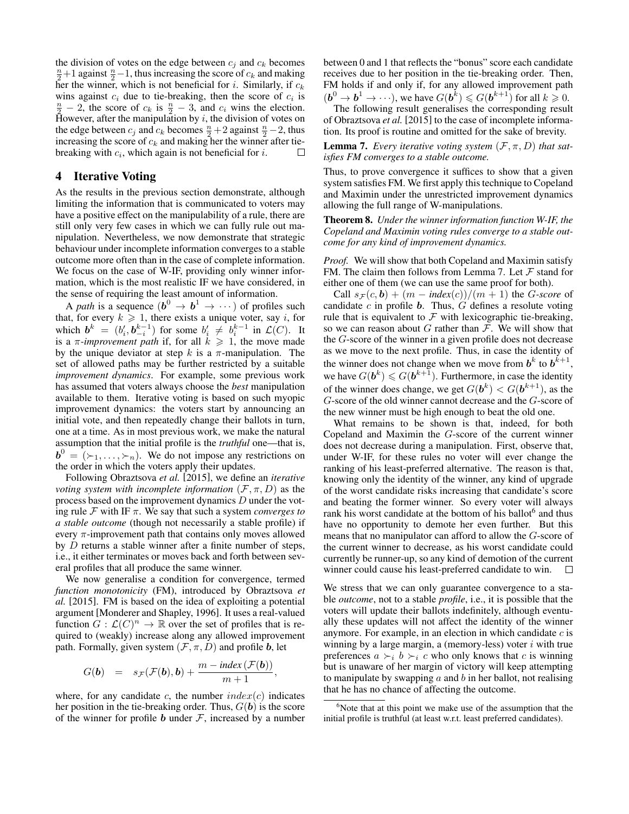the division of votes on the edge between  $c_i$  and  $c_k$  becomes  $\frac{n}{2}+1$  against  $\frac{n}{2}-1$ , thus increasing the score of  $c_k$  and making her the winner, which is not beneficial for i. Similarly, if  $c_k$ wins against  $c_i$  due to tie-breaking, then the score of  $c_i$  is  $\frac{n}{2}$  – 2, the score of  $c_k$  is  $\frac{n}{2}$  – 3, and  $c_i$  wins the election. However, after the manipulation by  $i$ , the division of votes on the edge between  $c_j$  and  $c_k$  becomes  $\frac{n}{2} + 2$  against  $\frac{n}{2} - 2$ , thus increasing the score of  $c_k$  and making her the winner after tiebreaking with  $c_i$ , which again is not beneficial for i.  $\Box$ 

### 4 Iterative Voting

As the results in the previous section demonstrate, although limiting the information that is communicated to voters may have a positive effect on the manipulability of a rule, there are still only very few cases in which we can fully rule out manipulation. Nevertheless, we now demonstrate that strategic behaviour under incomplete information converges to a stable outcome more often than in the case of complete information. We focus on the case of W-IF, providing only winner information, which is the most realistic IF we have considered, in the sense of requiring the least amount of information.

A *path* is a sequence  $(b^0 \rightarrow b^1 \rightarrow \cdots)$  of profiles such that, for every  $k \ge 1$ , there exists a unique voter, say i, for which  $b^k = (b'_i, b_{-i}^{k-1})$  for some  $b'_i \neq b_i^{k-1}$  in  $\mathcal{L}(C)$ . It is a  $\pi$ -*improvement path* if, for all  $k \geq 1$ , the move made by the unique deviator at step k is a  $\pi$ -manipulation. The set of allowed paths may be further restricted by a suitable *improvement dynamics*. For example, some previous work has assumed that voters always choose the *best* manipulation available to them. Iterative voting is based on such myopic improvement dynamics: the voters start by announcing an initial vote, and then repeatedly change their ballots in turn, one at a time. As in most previous work, we make the natural assumption that the initial profile is the *truthful* one—that is,  $\mathbf{b}^0 = (\succ_1, \ldots, \succ_n)$ . We do not impose any restrictions on the order in which the voters apply their updates.

Following Obraztsova *et al.* [2015], we define an *iterative voting system with incomplete information*  $(\mathcal{F}, \pi, D)$  as the process based on the improvement dynamics D under the voting rule F with IF π. We say that such a system *converges to a stable outcome* (though not necessarily a stable profile) if every  $\pi$ -improvement path that contains only moves allowed by D returns a stable winner after a finite number of steps, i.e., it either terminates or moves back and forth between several profiles that all produce the same winner.

We now generalise a condition for convergence, termed *function monotonicity* (FM), introduced by Obraztsova *et al.* [2015]. FM is based on the idea of exploiting a potential argument [Monderer and Shapley, 1996]. It uses a real-valued function  $G: \mathcal{L}(C)^n \to \mathbb{R}$  over the set of profiles that is required to (weakly) increase along any allowed improvement path. Formally, given system  $(\mathcal{F}, \pi, D)$  and profile b, let

$$
G(\boldsymbol{b}) = s_{\mathcal{F}}(\mathcal{F}(\boldsymbol{b}), \boldsymbol{b}) + \frac{m - \text{index}(\mathcal{F}(\boldsymbol{b}))}{m + 1},
$$

where, for any candidate c, the number  $index(c)$  indicates her position in the tie-breaking order. Thus,  $G(\boldsymbol{b})$  is the score of the winner for profile b under  $F$ , increased by a number between 0 and 1 that reflects the "bonus" score each candidate receives due to her position in the tie-breaking order. Then, FM holds if and only if, for any allowed improvement path  $(b^0 \rightarrow b^1 \rightarrow \cdots)$ , we have  $G(b^k) \leq G(b^{k+1})$  for all  $k \geq 0$ .

The following result generalises the corresponding result of Obraztsova *et al.* [2015] to the case of incomplete information. Its proof is routine and omitted for the sake of brevity.

**Lemma 7.** *Every iterative voting system*  $(F, \pi, D)$  *that satisfies FM converges to a stable outcome.*

Thus, to prove convergence it suffices to show that a given system satisfies FM. We first apply this technique to Copeland and Maximin under the unrestricted improvement dynamics allowing the full range of W-manipulations.

Theorem 8. *Under the winner information function W-IF, the Copeland and Maximin voting rules converge to a stable outcome for any kind of improvement dynamics.*

*Proof.* We will show that both Copeland and Maximin satisfy FM. The claim then follows from Lemma 7. Let  $\mathcal F$  stand for either one of them (we can use the same proof for both).

Call  $s_F(c, b) + (m - index(c))/(m + 1)$  the *G-score* of candidate  $c$  in profile  $\boldsymbol{b}$ . Thus,  $G$  defines a resolute voting rule that is equivalent to  $\mathcal F$  with lexicographic tie-breaking, so we can reason about G rather than  $\mathcal{F}$ . We will show that the G-score of the winner in a given profile does not decrease as we move to the next profile. Thus, in case the identity of the winner does not change when we move from  $b^k$  to  $b^{k+1}$ , we have  $G(\boldsymbol{b}^k) \leq G(\boldsymbol{b}^{k+1})$ . Furthermore, in case the identity of the winner does change, we get  $G(\boldsymbol{b}^k) < G(\boldsymbol{b}^{k+1})$ , as the G-score of the old winner cannot decrease and the G-score of the new winner must be high enough to beat the old one.

What remains to be shown is that, indeed, for both Copeland and Maximin the G-score of the current winner does not decrease during a manipulation. First, observe that, under W-IF, for these rules no voter will ever change the ranking of his least-preferred alternative. The reason is that, knowing only the identity of the winner, any kind of upgrade of the worst candidate risks increasing that candidate's score and beating the former winner. So every voter will always rank his worst candidate at the bottom of his ballot<sup>6</sup> and thus have no opportunity to demote her even further. But this means that no manipulator can afford to allow the G-score of the current winner to decrease, as his worst candidate could currently be runner-up, so any kind of demotion of the current winner could cause his least-preferred candidate to win.  $\Box$ 

We stress that we can only guarantee convergence to a stable *outcome*, not to a stable *profile*, i.e., it is possible that the voters will update their ballots indefinitely, although eventually these updates will not affect the identity of the winner anymore. For example, in an election in which candidate  $c$  is winning by a large margin, a (memory-less) voter  $i$  with true preferences  $a \succ_i b \succ_i c$  who only knows that c is winning but is unaware of her margin of victory will keep attempting to manipulate by swapping  $a$  and  $b$  in her ballot, not realising that he has no chance of affecting the outcome.

<sup>&</sup>lt;sup>6</sup>Note that at this point we make use of the assumption that the initial profile is truthful (at least w.r.t. least preferred candidates).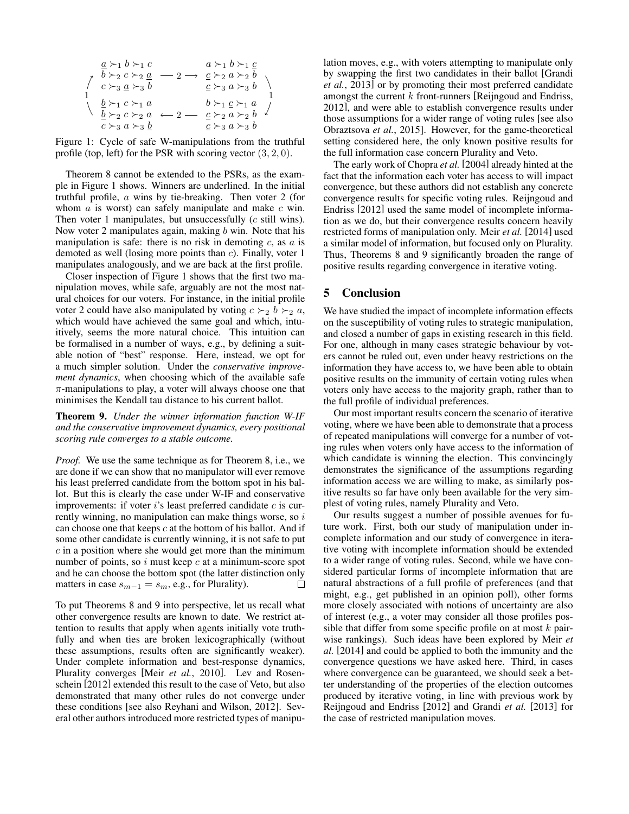$$
\begin{array}{c}\n\underline{a} \succ_1 b \succ_1 c & a \succ_1 b \succ_1 \underline{c} \\
\uparrow & b \succ_2 c \succ_2 \underline{a} & -2 \longrightarrow & \underline{c} \succ_2 a \succ_2 b \\
\uparrow & c \succ_3 \underline{a} \succ_3 b & \underline{c} \succ_3 a \succ_3 b \\
1 & \underline{b} \succ_1 c \succ_1 a & \underline{b} \succ_1 \underline{c} \succ_1 a & 1 \\
\underline{b} \succ_2 c \succ_2 a & -2 \longrightarrow & \underline{c} \succ_2 a \succ_2 b & 1 \\
\underline{c} \succ_3 a \succ_3 \underline{b} & \underline{c} \succ_3 a \succ_3 b & \n\end{array}
$$

Figure 1: Cycle of safe W-manipulations from the truthful profile (top, left) for the PSR with scoring vector  $(3, 2, 0)$ .

Theorem 8 cannot be extended to the PSRs, as the example in Figure 1 shows. Winners are underlined. In the initial truthful profile, a wins by tie-breaking. Then voter 2 (for whom  $a$  is worst) can safely manipulate and make  $c$  win. Then voter 1 manipulates, but unsuccessfully (c still wins). Now voter 2 manipulates again, making  $b$  win. Note that his manipulation is safe: there is no risk in demoting  $c$ , as  $a$  is demoted as well (losing more points than c). Finally, voter 1 manipulates analogously, and we are back at the first profile.

Closer inspection of Figure 1 shows that the first two manipulation moves, while safe, arguably are not the most natural choices for our voters. For instance, in the initial profile voter 2 could have also manipulated by voting  $c \succ_2 b \succ_2 a$ , which would have achieved the same goal and which, intuitively, seems the more natural choice. This intuition can be formalised in a number of ways, e.g., by defining a suitable notion of "best" response. Here, instead, we opt for a much simpler solution. Under the *conservative improvement dynamics*, when choosing which of the available safe  $\pi$ -manipulations to play, a voter will always choose one that minimises the Kendall tau distance to his current ballot.

Theorem 9. *Under the winner information function W-IF and the conservative improvement dynamics, every positional scoring rule converges to a stable outcome.*

*Proof.* We use the same technique as for Theorem 8, i.e., we are done if we can show that no manipulator will ever remove his least preferred candidate from the bottom spot in his ballot. But this is clearly the case under W-IF and conservative improvements: if voter  $i$ 's least preferred candidate  $c$  is currently winning, no manipulation can make things worse, so  $i$ can choose one that keeps  $c$  at the bottom of his ballot. And if some other candidate is currently winning, it is not safe to put  $c$  in a position where she would get more than the minimum number of points, so  $i$  must keep  $c$  at a minimum-score spot and he can choose the bottom spot (the latter distinction only matters in case  $s_{m-1} = s_m$ , e.g., for Plurality).  $\Box$ 

To put Theorems 8 and 9 into perspective, let us recall what other convergence results are known to date. We restrict attention to results that apply when agents initially vote truthfully and when ties are broken lexicographically (without these assumptions, results often are significantly weaker). Under complete information and best-response dynamics, Plurality converges [Meir *et al.*, 2010]. Lev and Rosenschein [2012] extended this result to the case of Veto, but also demonstrated that many other rules do not converge under these conditions [see also Reyhani and Wilson, 2012]. Several other authors introduced more restricted types of manipulation moves, e.g., with voters attempting to manipulate only by swapping the first two candidates in their ballot [Grandi *et al.*, 2013] or by promoting their most preferred candidate amongst the current  $k$  front-runners [Reijngoud and Endriss, 2012], and were able to establish convergence results under those assumptions for a wider range of voting rules [see also Obraztsova *et al.*, 2015]. However, for the game-theoretical setting considered here, the only known positive results for the full information case concern Plurality and Veto.

The early work of Chopra *et al.* [2004] already hinted at the fact that the information each voter has access to will impact convergence, but these authors did not establish any concrete convergence results for specific voting rules. Reijngoud and Endriss [2012] used the same model of incomplete information as we do, but their convergence results concern heavily restricted forms of manipulation only. Meir *et al.* [2014] used a similar model of information, but focused only on Plurality. Thus, Theorems 8 and 9 significantly broaden the range of positive results regarding convergence in iterative voting.

### 5 Conclusion

We have studied the impact of incomplete information effects on the susceptibility of voting rules to strategic manipulation, and closed a number of gaps in existing research in this field. For one, although in many cases strategic behaviour by voters cannot be ruled out, even under heavy restrictions on the information they have access to, we have been able to obtain positive results on the immunity of certain voting rules when voters only have access to the majority graph, rather than to the full profile of individual preferences.

Our most important results concern the scenario of iterative voting, where we have been able to demonstrate that a process of repeated manipulations will converge for a number of voting rules when voters only have access to the information of which candidate is winning the election. This convincingly demonstrates the significance of the assumptions regarding information access we are willing to make, as similarly positive results so far have only been available for the very simplest of voting rules, namely Plurality and Veto.

Our results suggest a number of possible avenues for future work. First, both our study of manipulation under incomplete information and our study of convergence in iterative voting with incomplete information should be extended to a wider range of voting rules. Second, while we have considered particular forms of incomplete information that are natural abstractions of a full profile of preferences (and that might, e.g., get published in an opinion poll), other forms more closely associated with notions of uncertainty are also of interest (e.g., a voter may consider all those profiles possible that differ from some specific profile on at most  $k$  pairwise rankings). Such ideas have been explored by Meir *et al.* [2014] and could be applied to both the immunity and the convergence questions we have asked here. Third, in cases where convergence can be guaranteed, we should seek a better understanding of the properties of the election outcomes produced by iterative voting, in line with previous work by Reijngoud and Endriss [2012] and Grandi *et al.* [2013] for the case of restricted manipulation moves.